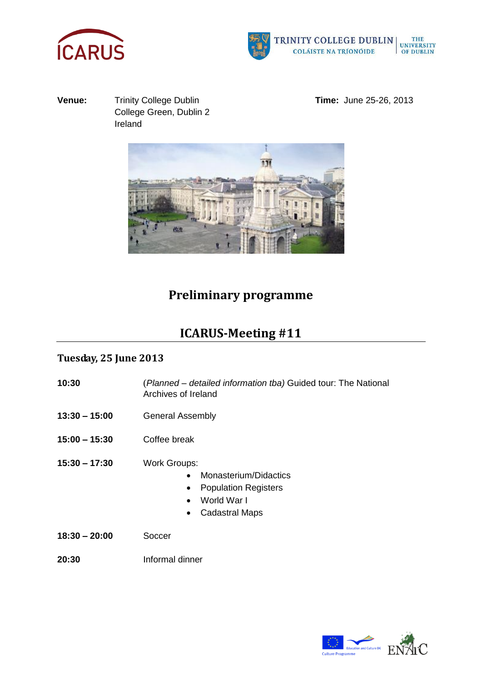



**Venue:** Trinity College Dublin **Time:** June 25-26, 2013 College Green, Dublin 2 Ireland



## **Preliminary programme**

# **ICARUS-Meeting #11**

### **Tuesday, 25 June 2013**

- **10:30** (*Planned – detailed information tba)* Guided tour: The National Archives of Ireland
- **13:30 – 15:00** General Assembly
- **15:00 – 15:30** Coffee break
- **15:30 – 17:30** Work Groups:
	- Monasterium/Didactics
	- Population Registers
	- World War I
	- Cadastral Maps
- **18:30 – 20:00** Soccer
- **20:30** Informal dinner